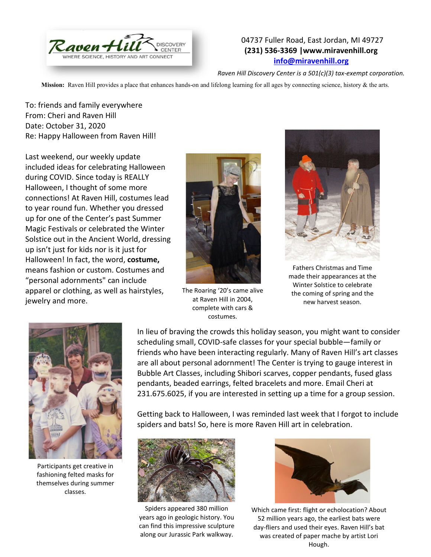

## 04737 Fuller Road, East Jordan, MI 49727 **(231) 536-3369 |www.miravenhill.org [info@miravenhill.org](mailto:info@miravenhill.org)**

*Raven Hill Discovery Center is a 501(c)(3) tax-exempt corporation.*

**Mission:** Raven Hill provides a place that enhances hands-on and lifelong learning for all ages by connecting science, history & the arts.

To: friends and family everywhere From: Cheri and Raven Hill Date: October 31, 2020 Re: Happy Halloween from Raven Hill!

Last weekend, our weekly update included ideas for celebrating Halloween during COVID. Since today is REALLY Halloween, I thought of some more connections! At Raven Hill, costumes lead to year round fun. Whether you dressed up for one of the Center's past Summer Magic Festivals or celebrated the Winter Solstice out in the Ancient World, dressing up isn't just for kids nor is it just for Halloween! In fact, the word, **costume,**  means fashion or custom. Costumes and "personal adornments" can include apparel or clothing, as well as hairstyles, jewelry and more.



The Roaring '20's came alive at Raven Hill in 2004, complete with cars & costumes.



Fathers Christmas and Time made their appearances at the Winter Solstice to celebrate the coming of spring and the new harvest season.



Participants get creative in fashioning felted masks for themselves during summer classes.

In lieu of braving the crowds this holiday season, you might want to consider scheduling small, COVID-safe classes for your special bubble—family or friends who have been interacting regularly. Many of Raven Hill's art classes are all about personal adornment! The Center is trying to gauge interest in Bubble Art Classes, including Shibori scarves, copper pendants, fused glass pendants, beaded earrings, felted bracelets and more. Email Cheri at 231.675.6025, if you are interested in setting up a time for a group session.

Getting back to Halloween, I was reminded last week that I forgot to include spiders and bats! So, here is more Raven Hill art in celebration.



Spiders appeared 380 million years ago in geologic history. You can find this impressive sculpture along our Jurassic Park walkway.



Which came first: flight or echolocation? About 52 million years ago, the earliest bats were day-fliers and used their eyes. Raven Hill's bat was created of paper mache by artist Lori Hough.